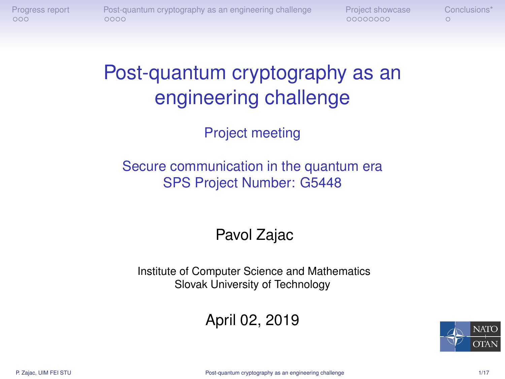<span id="page-0-0"></span>

00000000

 $\circ$ 

# Post-quantum cryptography as an engineering challenge

Project meeting

#### Secure communication in the quantum era SPS Project Number: G5448

#### Pavol Zajac

Institute of Computer Science and Mathematics Slovak University of Technology

#### April 02, 2019

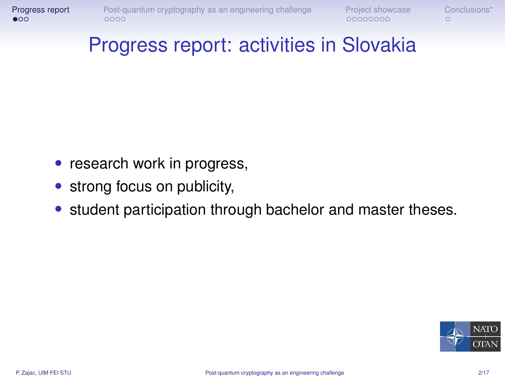<span id="page-1-0"></span>

#### Progress report: activities in Slovakia

- research work in progress,
- strong focus on publicity,
- student participation through bachelor and master theses.

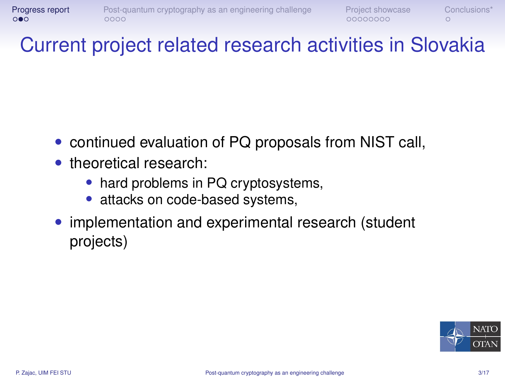#### Current project related research activities in Slovakia

- continued evaluation of PQ proposals from NIST call,
- theoretical research:
	- hard problems in PQ cryptosystems,
	- attacks on code-based systems,
- implementation and experimental research (student projects)

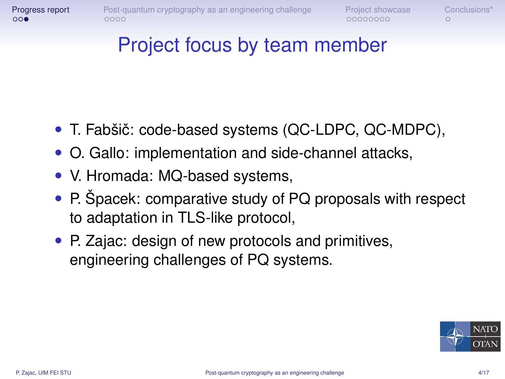### Project focus by team member

- T. Fabšič: code-based systems (QC-LDPC, QC-MDPC),
- O. Gallo: implementation and side-channel attacks,
- V. Hromada: MQ-based systems,
- P. Špacek: comparative study of PQ proposals with respect to adaptation in TLS-like protocol,
- P. Zajac: design of new protocols and primitives, engineering challenges of PQ systems.

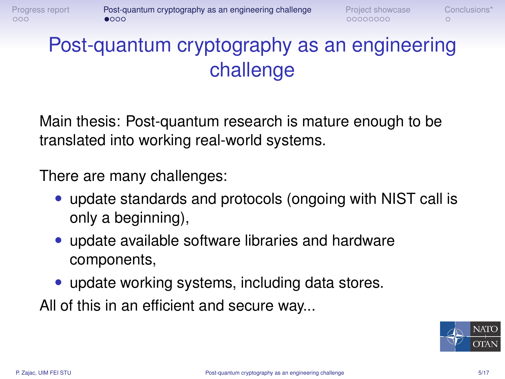<span id="page-4-0"></span> $000$ 

# Post-quantum cryptography as an engineering challenge

Main thesis: Post-quantum research is mature enough to be translated into working real-world systems.

There are many challenges:

- update standards and protocols (ongoing with NIST call is only a beginning),
- update available software libraries and hardware components,
- update working systems, including data stores.

All of this in an efficient and secure way...

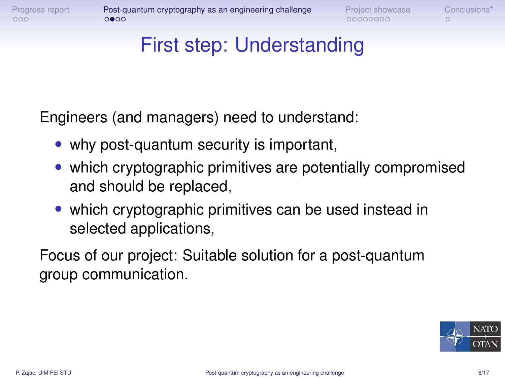00000000

#### First step: Understanding

Engineers (and managers) need to understand:

- why post-quantum security is important,
- which cryptographic primitives are potentially compromised and should be replaced,
- which cryptographic primitives can be used instead in selected applications,

Focus of our project: Suitable solution for a post-quantum group communication.

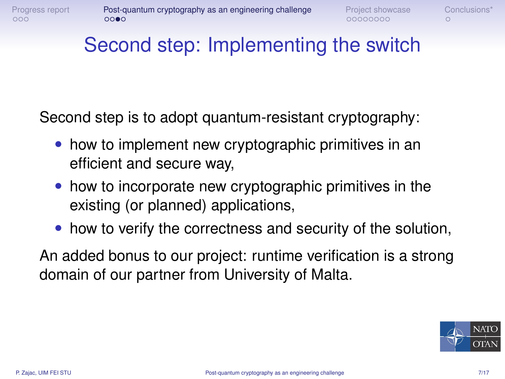### Second step: Implementing the switch

Second step is to adopt quantum-resistant cryptography:

- how to implement new cryptographic primitives in an efficient and secure way,
- how to incorporate new cryptographic primitives in the existing (or planned) applications,
- how to verify the correctness and security of the solution,

An added bonus to our project: runtime verification is a strong domain of our partner from University of Malta.

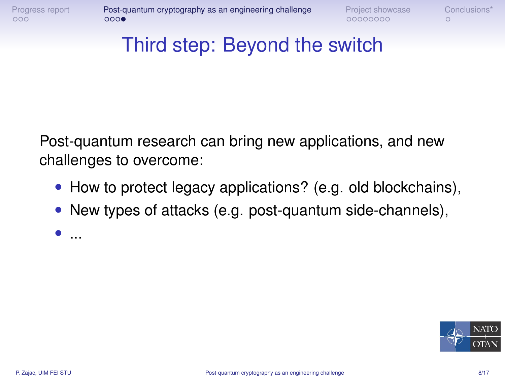### Third step: Beyond the switch

Post-quantum research can bring new applications, and new challenges to overcome:

- How to protect legacy applications? (e.g. old blockchains),
- New types of attacks (e.g. post-quantum side-channels),

 $\bullet$  ...

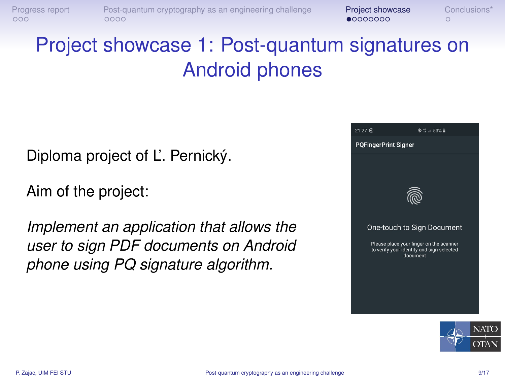<span id="page-8-0"></span>[Progress report](#page-1-0) [Post-quantum cryptography as an engineering challenge](#page-4-0) **[Project showcase](#page-8-0)** Conclusions<sup>\*</sup><br>000000000 0000 0000  $0000$ 

# Project showcase 1: Post-quantum signatures on Android phones

Diploma project of L'. Pernický.

Aim of the project:

*Implement an application that allows the user to sign PDF documents on Android phone using PQ signature algorithm.*



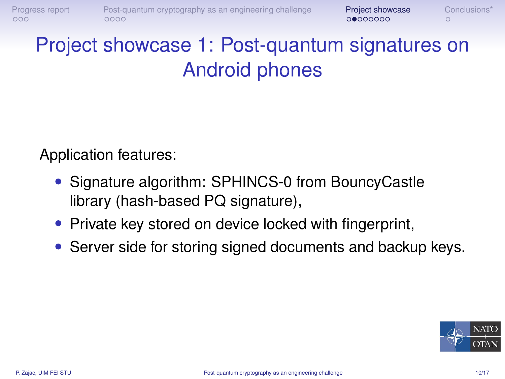# Project showcase 1: Post-quantum signatures on Android phones

Application features:

- Signature algorithm: SPHINCS-0 from BouncyCastle library (hash-based PQ signature),
- Private key stored on device locked with fingerprint,
- Server side for storing signed documents and backup keys.

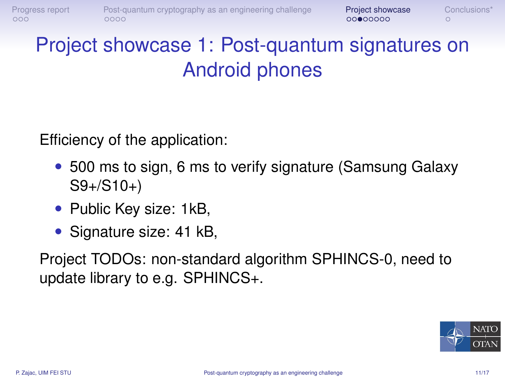## Project showcase 1: Post-quantum signatures on Android phones

Efficiency of the application:

- 500 ms to sign, 6 ms to verify signature (Samsung Galaxy S9+/S10+)
- Public Key size: 1kB,
- Signature size: 41 kB,

Project TODOs: non-standard algorithm SPHINCS-0, need to update library to e.g. SPHINCS+.

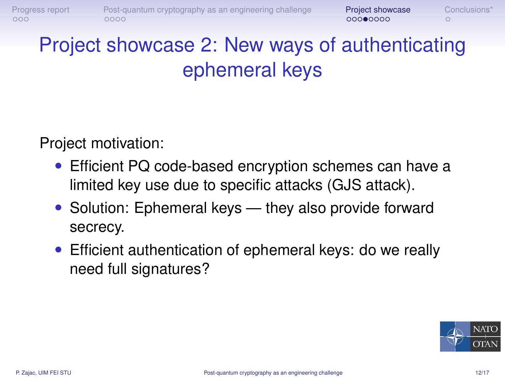# Project showcase 2: New ways of authenticating ephemeral keys

Project motivation:

- Efficient PQ code-based encryption schemes can have a limited key use due to specific attacks (GJS attack).
- Solution: Ephemeral keys they also provide forward secrecy.
- Efficient authentication of ephemeral keys: do we really need full signatures?

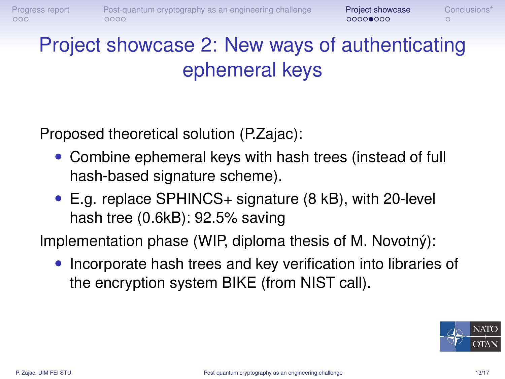# Project showcase 2: New ways of authenticating ephemeral keys

Proposed theoretical solution (P.Zajac):

- Combine ephemeral keys with hash trees (instead of full hash-based signature scheme).
- E.g. replace SPHINCS+ signature (8 kB), with 20-level hash tree (0.6kB): 92.5% saving

Implementation phase (WIP, diploma thesis of M. Novotný):

• Incorporate hash trees and key verification into libraries of the encryption system BIKE (from NIST call).

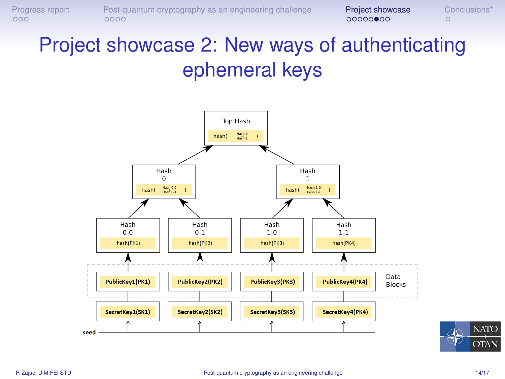[Progress report](#page-1-0) [Post-quantum cryptography as an engineering challenge](#page-4-0) **[Project showcase](#page-8-0)** [Conclusions\\*](#page-16-0)<br>0000**0000** 0000<br>00000**000** 

# Project showcase 2: New ways of authenticating ephemeral keys



**NATO** 

**OTAN**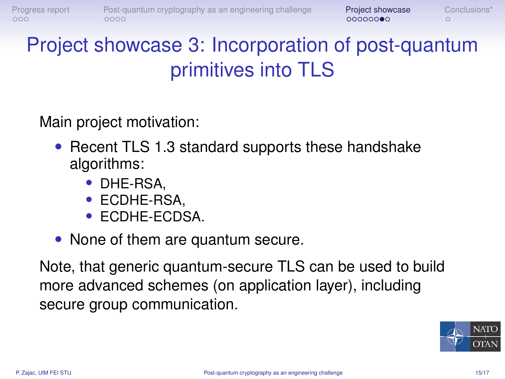# Project showcase 3: Incorporation of post-quantum primitives into TLS

Main project motivation:

- Recent TLS 1.3 standard supports these handshake algorithms:
	- DHE-RSA,
	- ECDHE-RSA,
	- ECDHE-ECDSA.
- None of them are quantum secure.

Note, that generic quantum-secure TLS can be used to build more advanced schemes (on application layer), including secure group communication.

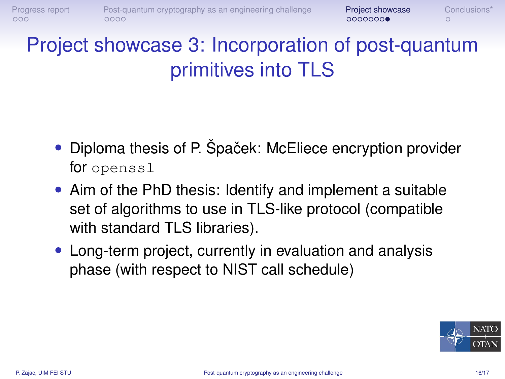# Project showcase 3: Incorporation of post-quantum primitives into TLS

- Diploma thesis of P. Špaček: McEliece encryption provider for openssl
- Aim of the PhD thesis: Identify and implement a suitable set of algorithms to use in TLS-like protocol (compatible with standard TLS libraries).
- Long-term project, currently in evaluation and analysis phase (with respect to NIST call schedule)